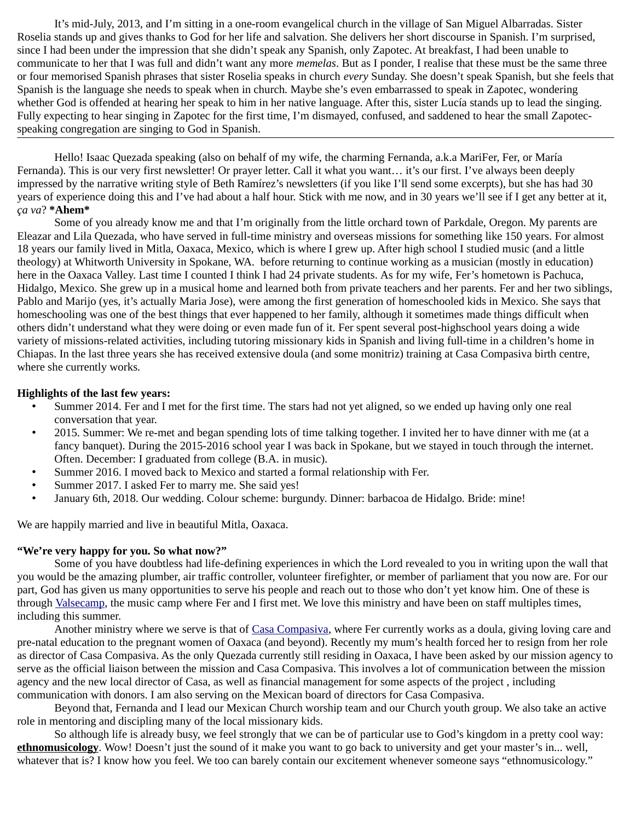It's mid-July, 2013, and I'm sitting in a one-room evangelical church in the village of San Miguel Albarradas. Sister Roselia stands up and gives thanks to God for her life and salvation. She delivers her short discourse in Spanish. I'm surprised, since I had been under the impression that she didn't speak any Spanish, only Zapotec. At breakfast, I had been unable to communicate to her that I was full and didn't want any more *memelas*. But as I ponder, I realise that these must be the same three or four memorised Spanish phrases that sister Roselia speaks in church *every* Sunday. She doesn't speak Spanish, but she feels that Spanish is the language she needs to speak when in church. Maybe she's even embarrassed to speak in Zapotec, wondering whether God is offended at hearing her speak to him in her native language. After this, sister Lucía stands up to lead the singing. Fully expecting to hear singing in Zapotec for the first time, I'm dismayed, confused, and saddened to hear the small Zapotecspeaking congregation are singing to God in Spanish.

Hello! Isaac Quezada speaking (also on behalf of my wife, the charming Fernanda, a.k.a MariFer, Fer, or María Fernanda). This is our very first newsletter! Or prayer letter. Call it what you want… it's our first. I've always been deeply impressed by the narrative writing style of Beth Ramírez's newsletters (if you like I'll send some excerpts), but she has had 30 years of experience doing this and I've had about a half hour. Stick with me now, and in 30 years we'll see if I get any better at it, *ça va*? **\*Ahem\***

Some of you already know me and that I'm originally from the little orchard town of Parkdale, Oregon. My parents are Eleazar and Lila Quezada, who have served in full-time ministry and overseas missions for something like 150 years. For almost 18 years our family lived in Mitla, Oaxaca, Mexico, which is where I grew up. After high school I studied music (and a little theology) at Whitworth University in Spokane, WA. before returning to continue working as a musician (mostly in education) here in the Oaxaca Valley. Last time I counted I think I had 24 private students. As for my wife, Fer's hometown is Pachuca, Hidalgo, Mexico. She grew up in a musical home and learned both from private teachers and her parents. Fer and her two siblings, Pablo and Marijo (yes, it's actually Maria Jose), were among the first generation of homeschooled kids in Mexico. She says that homeschooling was one of the best things that ever happened to her family, although it sometimes made things difficult when others didn't understand what they were doing or even made fun of it. Fer spent several post-highschool years doing a wide variety of missions-related activities, including tutoring missionary kids in Spanish and living full-time in a children's home in Chiapas. In the last three years she has received extensive doula (and some monitriz) training at Casa Compasiva birth centre, where she currently works.

### **Highlights of the last few years:**

- Summer 2014. Fer and I met for the first time. The stars had not yet aligned, so we ended up having only one real conversation that year.
- 2015. Summer: We re-met and began spending lots of time talking together. I invited her to have dinner with me (at a fancy banquet). During the 2015-2016 school year I was back in Spokane, but we stayed in touch through the internet. Often. December: I graduated from college (B.A. in music).
- Summer 2016. I moved back to Mexico and started a formal relationship with Fer.
- Summer 2017. I asked Fer to marry me. She said yes!
- January 6th, 2018. Our wedding. Colour scheme: burgundy. Dinner: barbacoa de Hidalgo. Bride: mine!

We are happily married and live in beautiful Mitla, Oaxaca.

### **"We're very happy for you. So what now?"**

Some of you have doubtless had life-defining experiences in which the Lord revealed to you in writing upon the wall that you would be the amazing plumber, air traffic controller, volunteer firefighter, or member of parliament that you now are. For our part, God has given us many opportunities to serve his people and reach out to those who don't yet know him. One of these is through [Valsecamp,](http://www.valsecamp.com/) the music camp where Fer and I first met. We love this ministry and have been on staff multiples times, including this summer.

Another ministry where we serve is that of [Casa Compasiva,](http://casacompasiva.blogspot.com/p/bienvenidos-casa-compasiva.html) where Fer currently works as a doula, giving loving care and pre-natal education to the pregnant women of Oaxaca (and beyond). Recently my mum's health forced her to resign from her role as director of Casa Compasiva. As the only Quezada currently still residing in Oaxaca, I have been asked by our mission agency to serve as the official liaison between the mission and Casa Compasiva. This involves a lot of communication between the mission agency and the new local director of Casa, as well as financial management for some aspects of the project , including communication with donors. I am also serving on the Mexican board of directors for Casa Compasiva.

Beyond that, Fernanda and I lead our Mexican Church worship team and our Church youth group. We also take an active role in mentoring and discipling many of the local missionary kids.

So although life is already busy, we feel strongly that we can be of particular use to God's kingdom in a pretty cool way: **ethnomusicology**. Wow! Doesn't just the sound of it make you want to go back to university and get your master's in... well, whatever that is? I know how you feel. We too can barely contain our excitement whenever someone says "ethnomusicology."